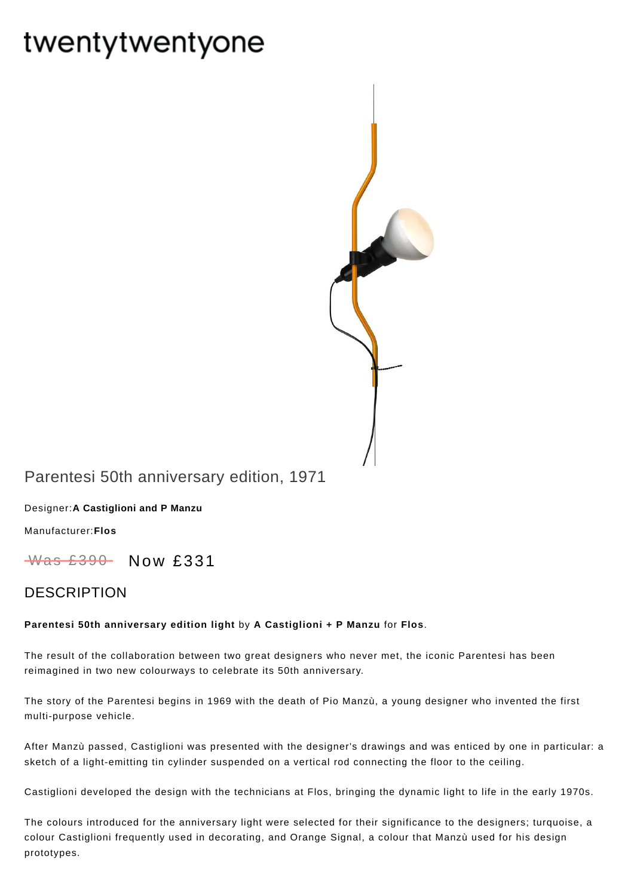# twentytwentyone



## Parentesi 50th anniversary edition, 1971

Designer:**A [Castiglioni](https://www.twentytwentyone.com/collections/designers-a-castiglioni-and-p-manzu) and P Manzu**

[Manufacturer:](https://www.twentytwentyone.com/collections/manufacturers-flos)**Flos**

 $W$ as £390 Now £331

### DESCRIPTION

#### **Parentesi 50th anniversary edition light** by **A [Castiglioni](http://twentytwentyone.com/designer/castiglioni-p-manzu) + P Manzu** for **[Flos](http://twentytwentyone.com/manufacturer/flos)**.

The result of the collaboration between two great designers who never met, the iconic Parentesi has been reimagined in two new colourways to celebrate its 50th anniversary.

The story of the Parentesi begins in 1969 with the death of Pio Manzù, a young designer who invented the first multi-purpose vehicle.

After Manzù passed, Castiglioni was presented with the designer's drawings and was enticed by one in particular: a sketch of a light-emitting tin cylinder suspended on a vertical rod connecting the floor to the ceiling.

Castiglioni developed the design with the technicians at Flos, bringing the dynamic light to life in the early 1970s.

The colours introduced for the anniversary light were selected for their significance to the designers; turquoise, a colour Castiglioni frequently used in decorating, and Orange Signal, a colour that Manzù used for his design prototypes.